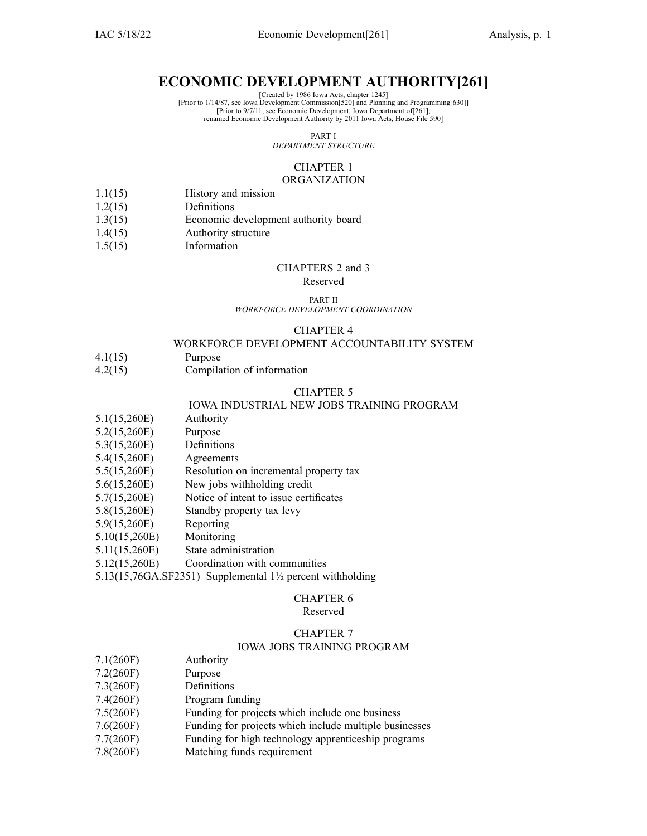# **ECONOMIC DEVELOPMENT AUTHORITY[261]**

[Created by 1986 Iowa Acts, chapter 1245]

[Prior to 1/14/87, see Iowa Development Commission[520] and Planning and Programming[630]]

[Prior to 9/7/11, see Economic Development, Iowa Department of[261]; renamed Economic Development Authority by 2011 Iowa Acts, House File 590]

PART I

*DEPARTMENT STRUCTURE*

# CHAPTER 1 **ORGANIZATION**

- 1.1(15) History and mission
- 1.2(15) Definitions
- 1.3(15) Economic development authority board
- 1.4(15) Authority structure
- 1.5(15) Information

### CHAPTERS 2 and 3

### Reserved

#### PART II *WORKFORCE DEVELOPMENT COORDINATION*

# CHAPTER 4

# WORKFORCE DEVELOPMENT ACCOUNTABILITY SYSTEM

- 4.1(15) Purpose
- 4.2(15) Compilation of information

### CHAPTER 5

### IOWA INDUSTRIAL NEW JOBS TRAINING PROGRAM

- 5.1(15,260E) Authority
- 5.2(15,260E) Purpose
- 5.3(15,260E) Definitions
- 5.4(15,260E) Agreements
- 5.5(15,260E) Resolution on incremental property tax
- 5.6(15,260E) New jobs withholding credit
- 5.7(15,260E) Notice of intent to issue certificates
- 5.8(15,260E) Standby property tax levy
- 5.9(15,260E) Reporting
- 5.10(15,260E) Monitoring
- 5.11(15,260E) State administration
- 5.12(15,260E) Coordination with communities

5.13(15,76GA,SF2351) Supplemental 1½ percen<sup>t</sup> withholding

# CHAPTER 6

# Reserved

# CHAPTER 7

### IOWA JOBS TRAINING PROGRAM

- 7.1(260F) Authority
- 7.2(260F) Purpose
- 7.3(260F) Definitions
- 7.4(260F) Program funding
- 7.5(260F) Funding for projects which include one business
- 7.6(260F) Funding for projects which include multiple businesses
- 7.7(260F) Funding for high technology apprenticeship programs
- 7.8(260F) Matching funds requirement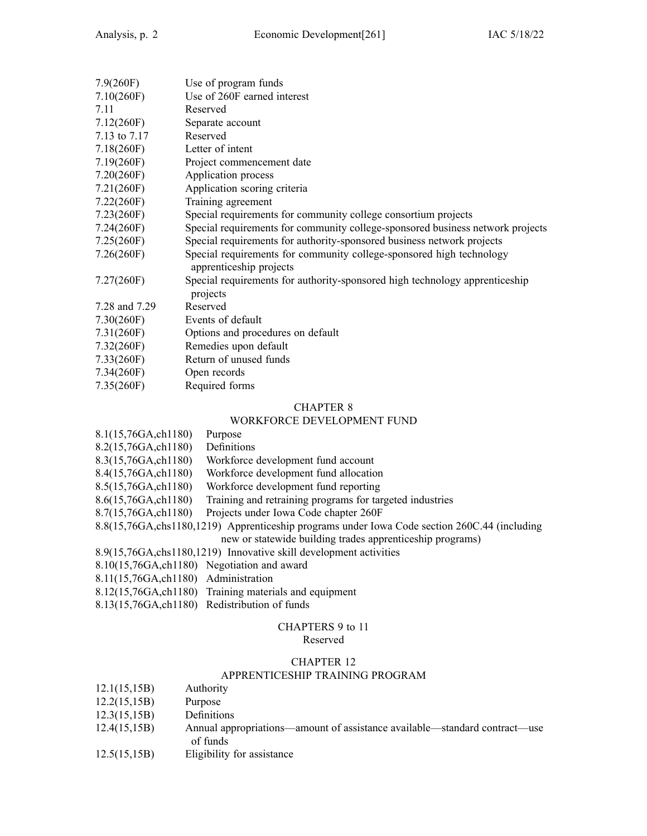| 7.9(260F)     | Use of program funds                                                                            |
|---------------|-------------------------------------------------------------------------------------------------|
| 7.10(260F)    | Use of 260F earned interest                                                                     |
| 7.11          | Reserved                                                                                        |
| 7.12(260F)    | Separate account                                                                                |
| 7.13 to 7.17  | Reserved                                                                                        |
| 7.18(260)     | Letter of intent                                                                                |
| 7.19(260F)    | Project commencement date                                                                       |
| 7.20(260F)    | Application process                                                                             |
| 7.21(260F)    | Application scoring criteria                                                                    |
| 7.22(260F)    | Training agreement                                                                              |
| 7.23(260F)    | Special requirements for community college consortium projects                                  |
| 7.24(260F)    | Special requirements for community college-sponsored business network projects                  |
| 7.25(260F)    | Special requirements for authority-sponsored business network projects                          |
| 7.26(260)     | Special requirements for community college-sponsored high technology<br>apprenticeship projects |
| 7.27(260F)    | Special requirements for authority-sponsored high technology apprenticeship<br>projects         |
| 7.28 and 7.29 | Reserved                                                                                        |
| 7.30(260F)    | Events of default                                                                               |
| 7.31(260F)    | Options and procedures on default                                                               |
| 7.32(260F)    | Remedies upon default                                                                           |
| 7.33(260F)    | Return of unused funds                                                                          |
| 7.34(260F)    | Open records                                                                                    |
| 7.35(260F)    | Required forms                                                                                  |

# WORKFORCE DEVELOPMENT FUND

|                                      | <u>N OIXIXI OIXCE DE VEEOI METVI TUTVD</u>                                                     |
|--------------------------------------|------------------------------------------------------------------------------------------------|
| 8.1(15,76GA,ch1180)                  | Purpose                                                                                        |
| 8.2(15,76GA,ch1180)                  | Definitions                                                                                    |
| 8.3(15,76GA,ch1180)                  | Workforce development fund account                                                             |
| 8.4(15,76GA,ch1180)                  | Workforce development fund allocation                                                          |
| 8.5(15,76GA,ch1180)                  | Workforce development fund reporting                                                           |
| 8.6(15,76GA,ch1180)                  | Training and retraining programs for targeted industries                                       |
| 8.7(15,76GA, ch1180)                 | Projects under Iowa Code chapter 260F                                                          |
|                                      | 8.8(15,76GA, chs1180, 1219) Apprenticeship programs under Iowa Code section 260C.44 (including |
|                                      | new or statewide building trades apprenticeship programs)                                      |
|                                      | 8.9(15,76GA, chs1180, 1219) Innovative skill development activities                            |
|                                      | 8.10(15,76GA, ch1180) Negotiation and award                                                    |
| 8.11(15,76GA, ch1180) Administration |                                                                                                |
|                                      | 8.12(15,76GA, ch1180) Training materials and equipment                                         |
|                                      |                                                                                                |

8.13(15,76GA,ch1180) Redistribution of funds

# CHAPTERS 9 to 11 Reserved

# CHAPTER 12

# APPRENTICESHIP TRAINING PROGRAM

| 12.1(15,15B) | Authority |
|--------------|-----------|
|--------------|-----------|

- 12.2(15,15B) Purpose
- 12.3(15,15B) Definitions
- 12.4(15,15B) Annual appropriations—amount of assistance available—standard contract—use of funds
- 12.5(15,15B) Eligibility for assistance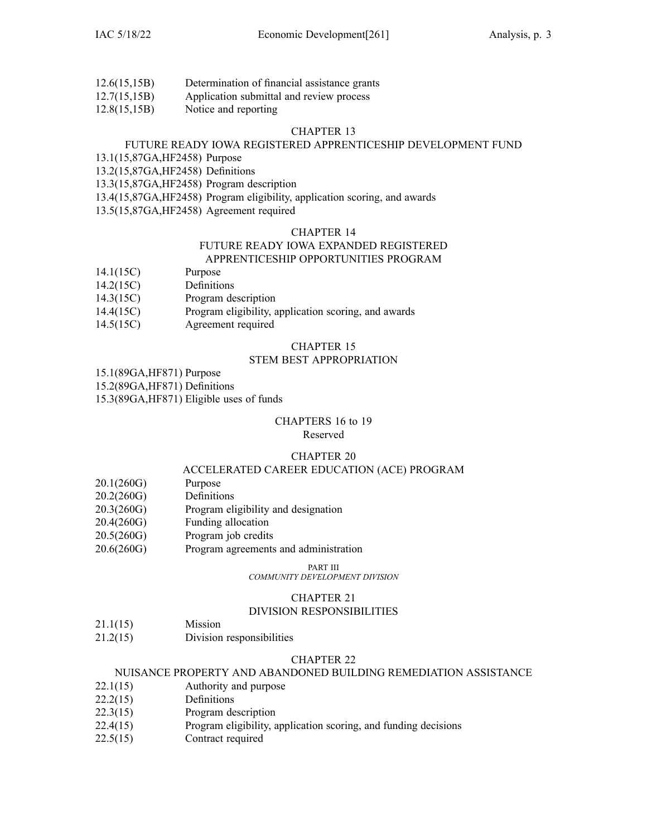- 12.6(15,15B) Determination of financial assistance grants
- 12.7(15,15B) Application submittal and review process
- 12.8(15,15B) Notice and reporting

# FUTURE READY IOWA REGISTERED APPRENTICESHIP DEVELOPMENT FUND

13.1(15,87GA,HF2458) Purpose

13.2(15,87GA,HF2458) Definitions

13.3(15,87GA,HF2458) Program description

13.4(15,87GA,HF2458) Program eligibility, application scoring, and awards

13.5(15,87GA,HF2458) Agreement required

# CHAPTER 14

### FUTURE READY IOWA EXPANDED REGISTERED APPRENTICESHIP OPPORTUNITIES PROGRAM

- 14.1(15C) Purpose
- 14.2(15C) Definitions
- 14.3(15C) Program description
- 14.4(15C) Program eligibility, application scoring, and awards
- 14.5(15C) Agreement required

# CHAPTER 15

# STEM BEST APPROPRIATION

15.1(89GA,HF871) Purpose

15.2(89GA,HF871) Definitions

15.3(89GA,HF871) Eligible uses of funds

### CHAPTERS 16 to 19 Reserved

# CHAPTER 20

# ACCELERATED CAREER EDUCATION (ACE) PROGRAM

- 20.1(260G) Purpose
- 20.2(260G) Definitions
- 20.3(260G) Program eligibility and designation
- 20.4(260G) Funding allocation
- 20.5(260G) Program job credits
- 20.6(260G) Program agreements and administration

PART III

*COMMUNITY DEVELOPMENT DIVISION*

# CHAPTER 21

# DIVISION RESPONSIBILITIES

- 21.1(15) Mission
- 21.2(15) Division responsibilities

# CHAPTER 22

# NUISANCE PROPERTY AND ABANDONED BUILDING REMEDIATION ASSISTANCE

- 22.1(15) Authority and purpose
- 22.2(15) Definitions
- 22.3(15) Program description
- 22.4(15) Program eligibility, application scoring, and funding decisions
- 22.5(15) Contract required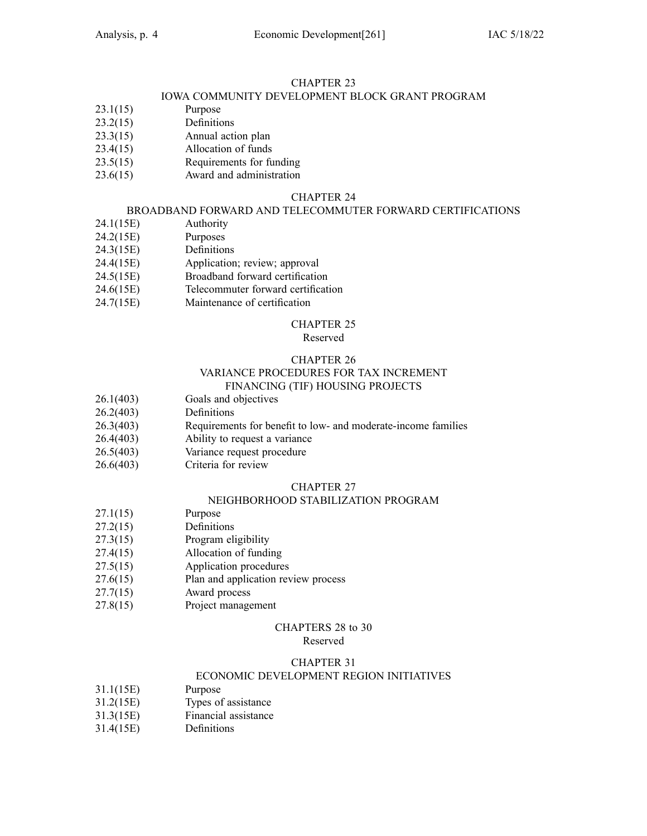# IOWA COMMUNITY DEVELOPMENT BLOCK GRANT PROGRAM

- 23.1(15) Purpose
- 23.2(15) Definitions
- 23.3(15) Annual action plan
- 23.4(15) Allocation of funds
- 23.5(15) Requirements for funding
- 23.6(15) Award and administration

# CHAPTER 24

# BROADBAND FORWARD AND TELECOMMUTER FORWARD CERTIFICATIONS

- 24.1(15E) Authority
- 24.2(15E) Purposes
- 24.3(15E) Definitions
- 24.4(15E) Application; review; approval
- 24.5(15E) Broadband forward certification
- 24.6(15E) Telecommuter forward certification
- 24.7(15E) Maintenance of certification

# CHAPTER 25

### Reserved

# CHAPTER 26

# VARIANCE PROCEDURES FOR TAX INCREMENT FINANCING (TIF) HOUSING PROJECTS

- 26.1(403) Goals and objectives
- 26.2(403) Definitions
- 26.3(403) Requirements for benefit to low- and moderate-income families
- 26.4(403) Ability to reques<sup>t</sup> <sup>a</sup> variance
- 26.5(403) Variance reques<sup>t</sup> procedure
- 26.6(403) Criteria for review

# CHAPTER 27

# NEIGHBORHOOD STABILIZATION PROGRAM

- 27.1(15) Purpose
- 27.2(15) Definitions
- 27.3(15) Program eligibility
- 27.4(15) Allocation of funding
- 27.5(15) Application procedures
- 27.6(15) Plan and application review process
- 27.7(15) Award process
- 27.8(15) Project managemen<sup>t</sup>

# CHAPTERS 28 to 30

# Reserved

# CHAPTER 31

# ECONOMIC DEVELOPMENT REGION INITIATIVES

- 31.1(15E) Purpose
- 31.2(15E) Types of assistance
- 31.3(15E) Financial assistance
- 31.4(15E) Definitions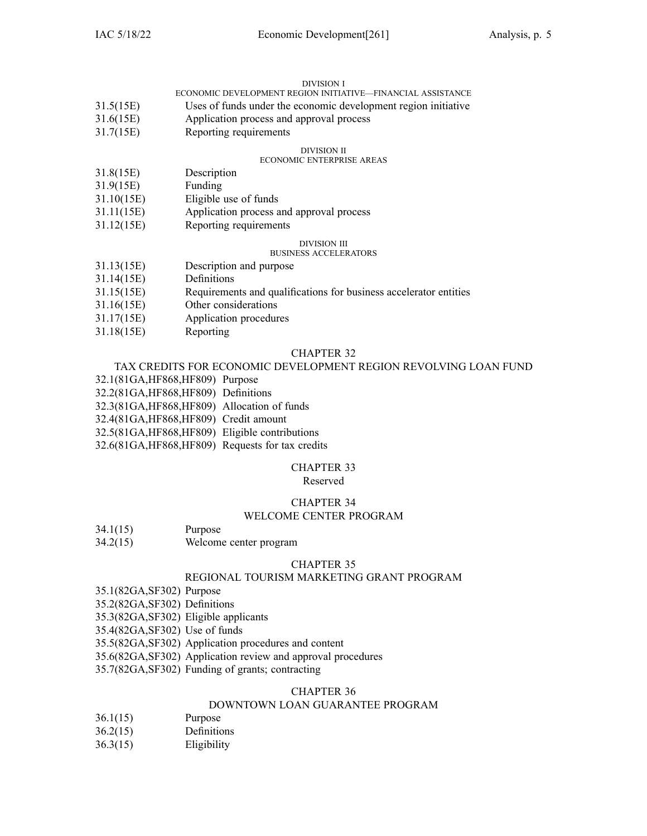### DIVISION I

|  |  |  |  | ECONOMIC DEVELOPMENT REGION INITIATIVE—FINANCIAL ASSISTANCE |
|--|--|--|--|-------------------------------------------------------------|
|  |  |  |  |                                                             |

- 31.5(15E) Uses of funds under the economic development region initiative
- 31.6(15E) Application process and approval process
- 31.7(15E) Reporting requirements

### DIVISION II

# ECONOMIC ENTERPRISE AREAS

- 31.8(15E) Description
- 31.9(15E) Funding
- 31.10(15E) Eligible use of funds
- 31.11(15E) Application process and approval process
- 31.12(15E) Reporting requirements

### DIVISION III

### BUSINESS ACCELERATORS

|  | 31.13(15E) | Description and purpose |
|--|------------|-------------------------|
|--|------------|-------------------------|

- 31.14(15E) Definitions
- 31.15(15E) Requirements and qualifications for business accelerator entities
- 31.16(15E) Other considerations
- 31.17(15E) Application procedures
- 31.18(15E) Reporting

### CHAPTER 32

# TAX CREDITS FOR ECONOMIC DEVELOPMENT REGION REVOLVING LOAN FUND

- 32.1(81GA,HF868,HF809) Purpose
- 32.2(81GA,HF868,HF809) Definitions
- 32.3(81GA,HF868,HF809) Allocation of funds

32.4(81GA,HF868,HF809) Credit amount

- 32.5(81GA,HF868,HF809) Eligible contributions
- 32.6(81GA,HF868,HF809) Requests for tax credits

### CHAPTER 33

Reserved

### CHAPTER 34

# WELCOME CENTER PROGRAM

34.2(15) Welcome center program

### CHAPTER 35

# REGIONAL TOURISM MARKETING GRANT PROGRAM

35.1(82GA,SF302) Purpose

35.2(82GA,SF302) Definitions

35.3(82GA,SF302) Eligible applicants

35.4(82GA,SF302) Use of funds

35.5(82GA,SF302) Application procedures and content

35.6(82GA,SF302) Application review and approval procedures

35.7(82GA,SF302) Funding of grants; contracting

### CHAPTER 36

# DOWNTOWN LOAN GUARANTEE PROGRAM

- 36.1(15) Purpose
- 36.2(15) Definitions
- 36.3(15) Eligibility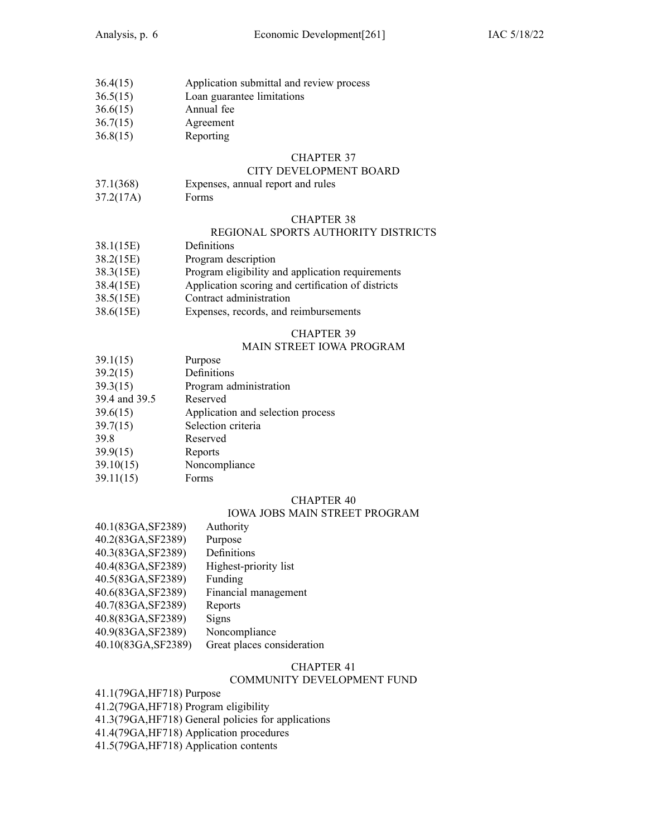- 36.4(15) Application submittal and review process
- 36.5(15) Loan guarantee limitations
- 36.6(15) Annual fee
- 36.7(15) Agreement
- 36.8(15) Reporting

### CITY DEVELOPMENT BOARD

- 37.1(368) Expenses, annual repor<sup>t</sup> and rules
- 37.2(17A) Forms

### CHAPTER 38

# REGIONAL SPORTS AUTHORITY DISTRICTS

- 38.1(15E) Definitions
- 38.2(15E) Program description
- 38.3(15E) Program eligibility and application requirements
- 38.4(15E) Application scoring and certification of districts
- 38.5(15E) Contract administration
- 38.6(15E) Expenses, records, and reimbursements

# CHAPTER 39

# MAIN STREET IOWA PROGRAM

- 39.1(15) Purpose
- 39.2(15) Definitions
- 39.3(15) Program administration
- 39.4 and 39.5 Reserved
- 39.6(15) Application and selection process
- 39.7(15) Selection criteria
- 39.8 Reserved
- 39.9(15) Reports
- 39.10(15) Noncompliance
- 39.11(15) Forms

### CHAPTER 40

# IOWA JOBS MAIN STREET PROGRAM

40.1(83GA,SF2389) Authority 40.2(83GA,SF2389) Purpose 40.3(83GA,SF2389) Definitions 40.4(83GA,SF2389) Highest-priority list 40.5(83GA,SF2389) Funding 40.6(83GA,SF2389) Financial managemen<sup>t</sup> 40.7(83GA,SF2389) Reports 40.8(83GA,SF2389) Signs 40.9(83GA,SF2389) Noncompliance 40.10(83GA,SF2389) Great places consideration

### CHAPTER 41

### COMMUNITY DEVELOPMENT FUND

41.1(79GA,HF718) Purpose 41.2(79GA,HF718) Program eligibility

- 41.3(79GA,HF718) General policies for applications
- 41.4(79GA,HF718) Application procedures
- 41.5(79GA,HF718) Application contents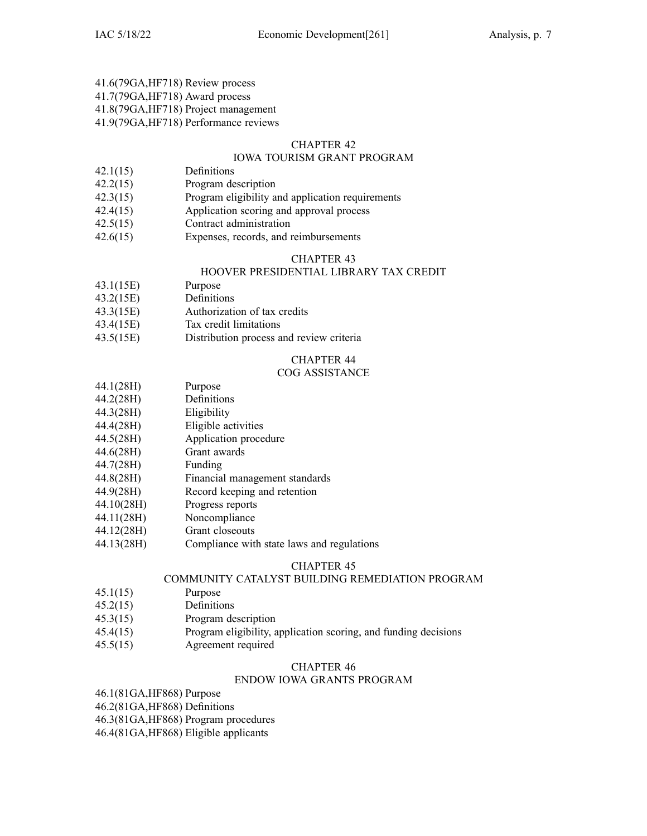# 41.6(79GA,HF718) Review process

41.7(79GA,HF718) Award process

41.8(79GA,HF718) Project managemen<sup>t</sup>

41.9(79GA,HF718) Performance reviews

# CHAPTER 42

# IOWA TOURISM GRANT PROGRAM

- 42.1(15) Definitions
- 42.2(15) Program description
- 42.3(15) Program eligibility and application requirements
- 42.4(15) Application scoring and approval process
- 42.5(15) Contract administration
- 42.6(15) Expenses, records, and reimbursements

# CHAPTER 43

# HOOVER PRESIDENTIAL LIBRARY TAX CREDIT

- 43.1(15E) Purpose
- 43.2(15E) Definitions
- 43.3(15E) Authorization of tax credits
- 43.4(15E) Tax credit limitations
- 43.5(15E) Distribution process and review criteria

# CHAPTER 44

# COG ASSISTANCE

- 44.1(28H) Purpose
- 44.2(28H) Definitions
- 44.3(28H) Eligibility
- 44.4(28H) Eligible activities
- 44.5(28H) Application procedure
- 44.6(28H) Grant awards
- 44.7(28H) Funding
- 44.8(28H) Financial managemen<sup>t</sup> standards
- 44.9(28H) Record keeping and retention
- 44.10(28H) Progress reports
- 44.11(28H) Noncompliance
- 44.12(28H) Grant closeouts
- 44.13(28H) Compliance with state laws and regulations

# CHAPTER 45

# COMMUNITY CATALYST BUILDING REMEDIATION PROGRAM

- 45.1(15) Purpose
- 45.2(15) Definitions
- 45.3(15) Program description
- 45.4(15) Program eligibility, application scoring, and funding decisions
- 45.5(15) Agreement required

# CHAPTER 46

# ENDOW IOWA GRANTS PROGRAM

46.1(81GA,HF868) Purpose

46.2(81GA,HF868) Definitions

46.3(81GA,HF868) Program procedures

46.4(81GA,HF868) Eligible applicants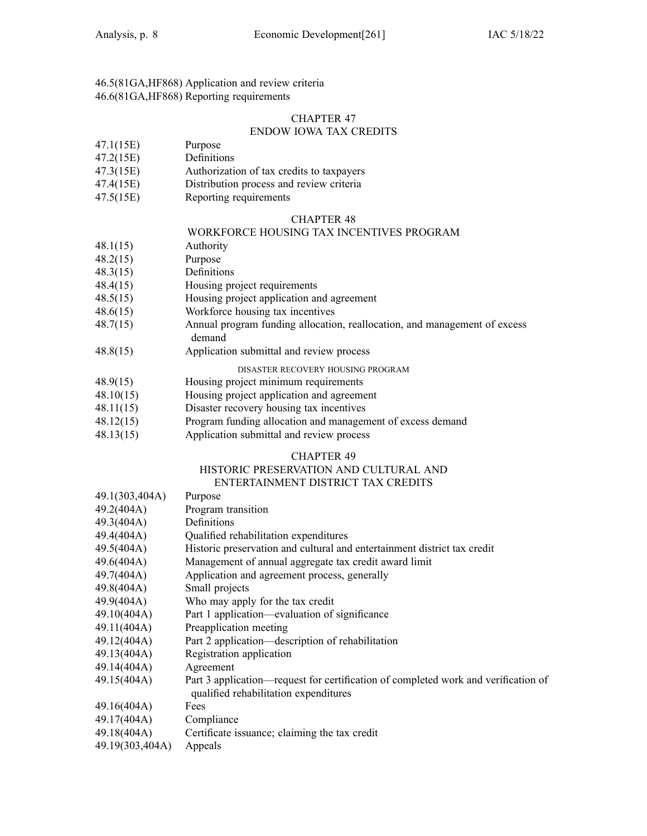46.5(81GA,HF868) Application and review criteria 46.6(81GA,HF868) Reporting requirements

# CHAPTER 47

# ENDOW IOWA TAX CREDITS

- 47.1(15E) Purpose
- 47.2(15E) Definitions
- 47.3(15E) Authorization of tax credits to taxpayers
- 47.4(15E) Distribution process and review criteria
- 47.5(15E) Reporting requirements

### CHAPTER 48

# WORKFORCE HOUSING TAX INCENTIVES PROGRAM

- 48.1(15) Authority
- 48.2(15) Purpose
- 48.3(15) Definitions
- 48.4(15) Housing project requirements
- 48.5(15) Housing project application and agreemen<sup>t</sup>
- 48.6(15) Workforce housing tax incentives
- 48.7(15) Annual program funding allocation, reallocation, and managemen<sup>t</sup> of excess demand
- 48.8(15) Application submittal and review process

DISASTER RECOVERY HOUSING PROGRAM

- 48.9(15) Housing project minimum requirements
- 48.10(15) Housing project application and agreemen<sup>t</sup>
- 48.11(15) Disaster recovery housing tax incentives
- 48.12(15) Program funding allocation and managemen<sup>t</sup> of excess demand
- 48.13(15) Application submittal and review process

### CHAPTER 49

### HISTORIC PRESERVATION AND CULTURAL AND ENTERTAINMENT DISTRICT TAX CREDITS

| 49.1(303,404A)  | Purpose                                                                                                                     |
|-----------------|-----------------------------------------------------------------------------------------------------------------------------|
| 49.2(404A)      | Program transition                                                                                                          |
| 49.3(404A)      | Definitions                                                                                                                 |
| 49.4(404A)      | Qualified rehabilitation expenditures                                                                                       |
| 49.5(404A)      | Historic preservation and cultural and entertainment district tax credit                                                    |
| 49.6(404A)      | Management of annual aggregate tax credit award limit                                                                       |
| 49.7(404A)      | Application and agreement process, generally                                                                                |
| 49.8(404A)      | Small projects                                                                                                              |
| 49.9(404A)      | Who may apply for the tax credit                                                                                            |
| 49.10(404A)     | Part 1 application—evaluation of significance                                                                               |
| 49.11(404A)     | Preapplication meeting                                                                                                      |
| 49.12(404A)     | Part 2 application—description of rehabilitation                                                                            |
| 49.13(404A)     | Registration application                                                                                                    |
| 49.14(404A)     | Agreement                                                                                                                   |
| 49.15(404A)     | Part 3 application—request for certification of completed work and verification of<br>qualified rehabilitation expenditures |
| 49.16(404A)     | Fees                                                                                                                        |
| 49.17(404A)     | Compliance                                                                                                                  |
|                 | 49.18(404A) Certificate issuance; claiming the tax credit                                                                   |
| 49.19(303,404A) | Appeals                                                                                                                     |
|                 |                                                                                                                             |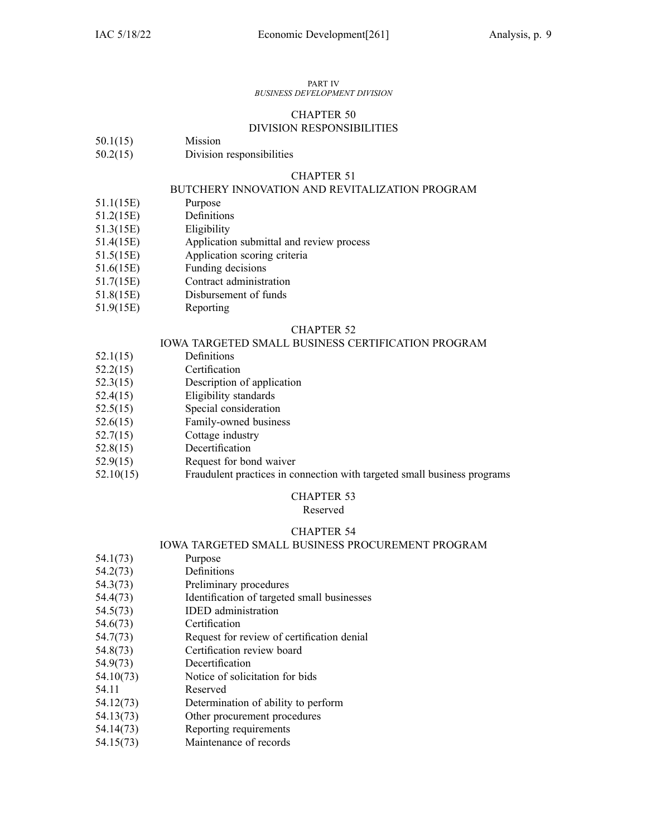#### PART IV *BUSINESS DEVELOPMENT DIVISION*

# CHAPTER 50 DIVISION RESPONSIBILITIES

- 50.1(15) Mission
- 50.2(15) Division responsibilities

### CHAPTER 51

### BUTCHERY INNOVATION AND REVITALIZATION PROGRAM

- 51.1(15E) Purpose
- 51.2(15E) Definitions
- 51.3(15E) Eligibility
- 51.4(15E) Application submittal and review process
- 51.5(15E) Application scoring criteria
- 51.6(15E) Funding decisions
- 51.7(15E) Contract administration
- 51.8(15E) Disbursement of funds
- 51.9(15E) Reporting

### CHAPTER 52

### IOWA TARGETED SMALL BUSINESS CERTIFICATION PROGRAM

- 52.1(15) Definitions
- 52.2(15) Certification
- 52.3(15) Description of application
- 52.4(15) Eligibility standards
- 52.5(15) Special consideration
- 52.6(15) Family-owned business
- 52.7(15) Cottage industry
- 52.8(15) Decertification
- 52.9(15) Request for bond waiver
- 52.10(15) Fraudulent practices in connection with targeted small business programs

# CHAPTER 53

### Reserved

# CHAPTER 54

### IOWA TARGETED SMALL BUSINESS PROCUREMENT PROGRAM

- 54.1(73) Purpose
- 54.2(73) Definitions
- 54.3(73) Preliminary procedures
- 54.4(73) Identification of targeted small businesses
- 54.5(73) IDED administration
- 54.6(73) Certification
- 54.7(73) Request for review of certification denial
- 54.8(73) Certification review board
- 54.9(73) Decertification
- 54.10(73) Notice of solicitation for bids
- 54.11 Reserved
- 54.12(73) Determination of ability to perform
- 54.13(73) Other procuremen<sup>t</sup> procedures
- 54.14(73) Reporting requirements
- 54.15(73) Maintenance of records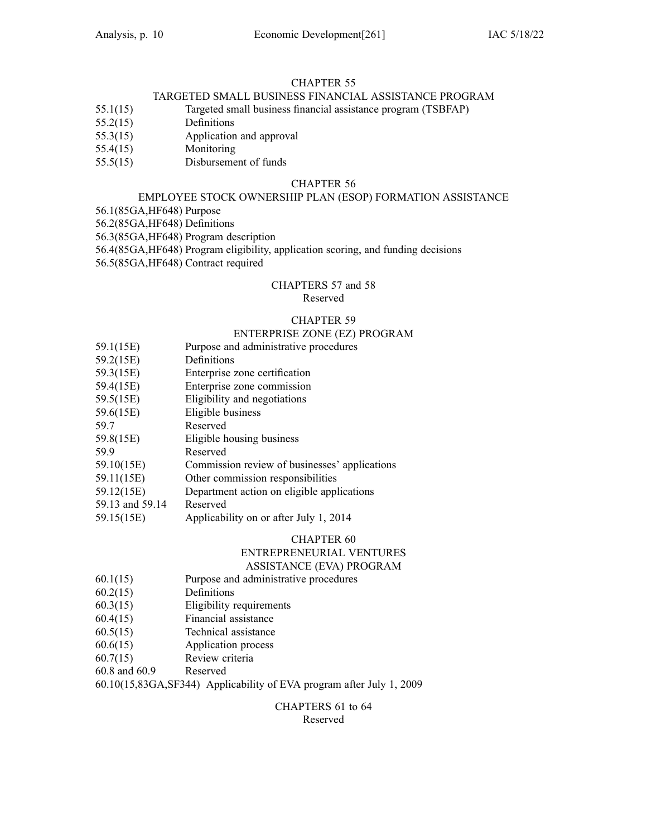# TARGETED SMALL BUSINESS FINANCIAL ASSISTANCE PROGRAM

- 55.1(15) Targeted small business financial assistance program (TSBFAP)
- 55.2(15) Definitions
- 55.3(15) Application and approval
- 55.4(15) Monitoring
- 55.5(15) Disbursement of funds

### CHAPTER 56

# EMPLOYEE STOCK OWNERSHIP PLAN (ESOP) FORMATION ASSISTANCE

56.1(85GA,HF648) Purpose

56.2(85GA,HF648) Definitions

56.3(85GA,HF648) Program description

56.4(85GA,HF648) Program eligibility, application scoring, and funding decisions

56.5(85GA,HF648) Contract required

### CHAPTERS 57 and 58 Reserved

### CHAPTER 59

### ENTERPRISE ZONE (EZ) PROGRAM

- 59.1(15E) Purpose and administrative procedures
- 59.2(15E) Definitions
- 59.3(15E) Enterprise zone certification
- 59.4(15E) Enterprise zone commission
- 59.5(15E) Eligibility and negotiations
- 59.6(15E) Eligible business
- 59.7 Reserved
- 59.8(15E) Eligible housing business
- 59.9 Reserved
- 59.10(15E) Commission review of businesses' applications
- 59.11(15E) Other commission responsibilities
- 59.12(15E) Department action on eligible applications
- 59.13 and 59.14 Reserved
- 59.15(15E) Applicability on or after July 1, 2014

# CHAPTER 60

# ENTREPRENEURIAL VENTURES

# ASSISTANCE (EVA) PROGRAM

- 60.1(15) Purpose and administrative procedures
- 60.2(15) Definitions
- 60.3(15) Eligibility requirements
- 60.4(15) Financial assistance
- 60.5(15) Technical assistance
- 60.6(15) Application process
- 60.7(15) Review criteria
- 60.8 and 60.9 Reserved

60.10(15,83GA,SF344) Applicability of EVA program after July 1, 2009

# CHAPTERS 61 to 64 Reserved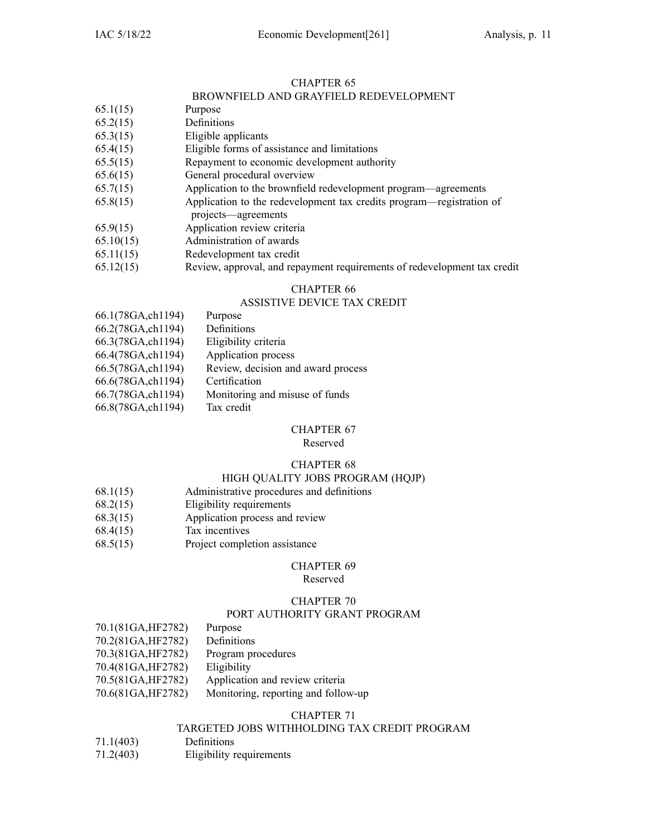# BROWNFIELD AND GRAYFIELD REDEVELOPMENT

- 65.1(15) Purpose
- 65.2(15) Definitions
- 65.3(15) Eligible applicants
- 65.4(15) Eligible forms of assistance and limitations
- 65.5(15) Repayment to economic development authority
- 65.6(15) General procedural overview
- 65.7(15) Application to the brownfield redevelopment program—agreements
- 65.8(15) Application to the redevelopment tax credits program—registration of projects—agreements
- 65.9(15) Application review criteria
- 65.10(15) Administration of awards
- 65.11(15) Redevelopment tax credit
- 65.12(15) Review, approval, and repaymen<sup>t</sup> requirements of redevelopment tax credit

# CHAPTER 66

# ASSISTIVE DEVICE TAX CREDIT

66.1(78GA,ch1194) Purpose

| 66.2(78GA, ch1194)<br>Definitions                       |  |
|---------------------------------------------------------|--|
| 66.3(78GA, ch1194)<br>Eligibility criteria              |  |
| 66.4(78GA, ch1194)<br>Application process               |  |
| Review, decision and award process<br>66.5(78GA,ch1194) |  |
| 66.6(78GA,ch1194)<br>Certification                      |  |
| 66.7(78GA, ch1194)<br>Monitoring and misuse of funds    |  |
| 66.8(78GA, ch1194)<br>Tax credit                        |  |

# CHAPTER 67

Reserved

# CHAPTER 68

# HIGH QUALITY JOBS PROGRAM (HQJP)

- 68.1(15) Administrative procedures and definitions
- 68.2(15) Eligibility requirements
- 68.3(15) Application process and review
- 68.4(15) Tax incentives
- 68.5(15) Project completion assistance

### CHAPTER 69

### Reserved

# CHAPTER 70

### PORT AUTHORITY GRANT PROGRAM

| 70.1(81GA, HF2782) | Purpose                             |
|--------------------|-------------------------------------|
| 70.2(81GA, HF2782) | Definitions                         |
| 70.3(81GA, HF2782) | Program procedures                  |
| 70.4(81GA, HF2782) | Eligibility                         |
| 70.5(81GA, HF2782) | Application and review criteria     |
| 70.6(81GA, HF2782) | Monitoring, reporting and follow-up |

# CHAPTER 71

# TARGETED JOBS WITHHOLDING TAX CREDIT PROGRAM

- 71.1(403) Definitions
- 71.2(403) Eligibility requirements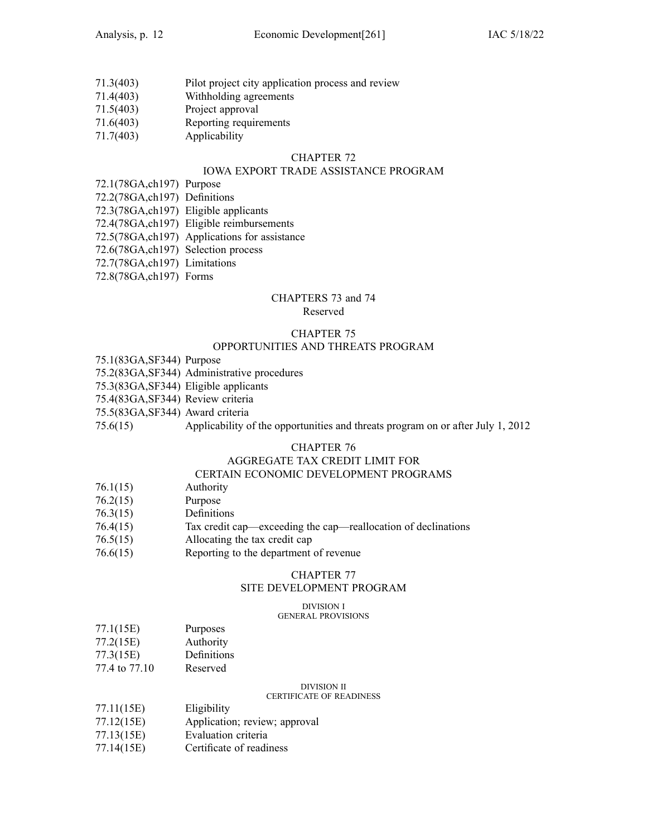- 71.3(403) Pilot project city application process and review
- 71.4(403) Withholding agreements
- 71.5(403) Project approval
- 71.6(403) Reporting requirements
- 71.7(403) Applicability

### IOWA EXPORT TRADE ASSISTANCE PROGRAM

- 72.1(78GA,ch197) Purpose
- 72.2(78GA,ch197) Definitions
- 72.3(78GA,ch197) Eligible applicants
- 72.4(78GA,ch197) Eligible reimbursements
- 72.5(78GA,ch197) Applications for assistance
- 72.6(78GA,ch197) Selection process
- 72.7(78GA,ch197) Limitations
- 72.8(78GA,ch197) Forms

# CHAPTERS 73 and 74

### Reserved

# CHAPTER 75

# OPPORTUNITIES AND THREATS PROGRAM

- 75.1(83GA,SF344) Purpose
- 75.2(83GA,SF344) Administrative procedures
- 75.3(83GA,SF344) Eligible applicants
- 75.4(83GA,SF344) Review criteria
- 75.5(83GA,SF344) Award criteria
- 75.6(15) Applicability of the opportunities and threats program on or after July 1, 2012

# CHAPTER 76

# AGGREGATE TAX CREDIT LIMIT FOR

# CERTAIN ECONOMIC DEVELOPMENT PROGRAMS

- 76.1(15) Authority
- 76.2(15) Purpose
- 76.3(15) Definitions
- 76.4(15) Tax credit cap—exceeding the cap—reallocation of declinations
- 76.5(15) Allocating the tax credit cap
- 76.6(15) Reporting to the department of revenue

### CHAPTER 77

### SITE DEVELOPMENT PROGRAM

#### DIVISION I

# GENERAL PROVISIONS

- 77.1(15E) Purposes
- 77.2(15E) Authority
- 77.3(15E) Definitions
- 77.4 to 77.10 Reserved

DIVISION II

### CERTIFICATE OF READINESS

- 77.11(15E) Eligibility
- 77.12(15E) Application; review; approval
- 77.13(15E) Evaluation criteria
- 77.14(15E) Certificate of readiness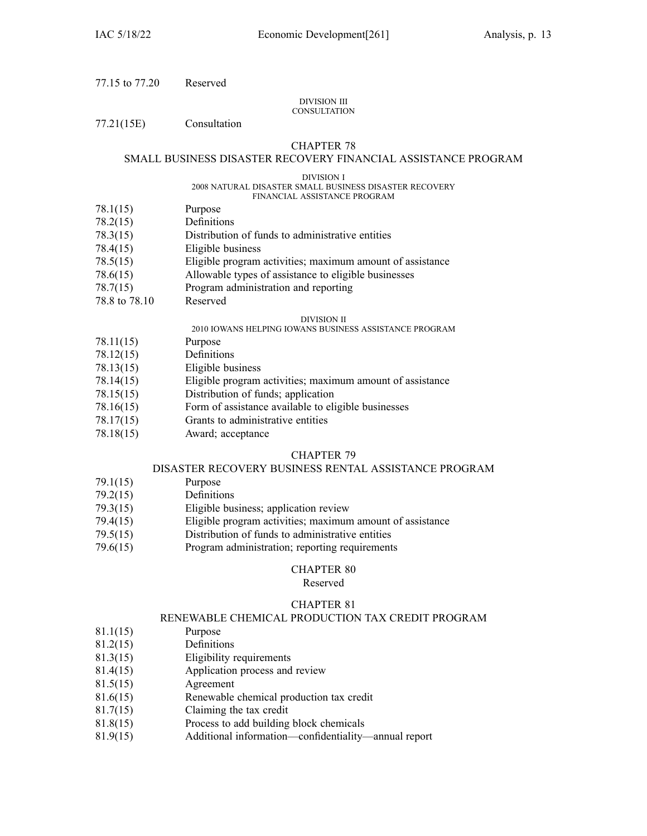77.15 to 77.20 Reserved

### DIVISION III **CONSULTATION**

77.21(15E) Consultation

# CHAPTER 78

# SMALL BUSINESS DISASTER RECOVERY FINANCIAL ASSISTANCE PROGRAM

### DIVISION I

#### 2008 NATURAL DISASTER SMALL BUSINESS DISASTER RECOVERY FINANCIAL ASSISTANCE PROGRAM

- 78.1(15) Purpose
- 78.2(15) Definitions
- 78.3(15) Distribution of funds to administrative entities
- 78.4(15) Eligible business
- 78.5(15) Eligible program activities; maximum amount of assistance
- 78.6(15) Allowable types of assistance to eligible businesses
- 78.7(15) Program administration and reporting
- 78.8 to 78.10 Reserved

### DIVISION II

- 2010 IOWANS HELPING IOWANS BUSINESS ASSISTANCE PROGRAM
- 78.11(15) Purpose
- 78.12(15) Definitions
- 78.13(15) Eligible business
- 78.14(15) Eligible program activities; maximum amount of assistance
- 78.15(15) Distribution of funds; application
- 78.16(15) Form of assistance available to eligible businesses
- 78.17(15) Grants to administrative entities
- 78.18(15) Award; acceptance

### CHAPTER 79

### DISASTER RECOVERY BUSINESS RENTAL ASSISTANCE PROGRAM

- 79.1(15) Purpose
- 79.2(15) Definitions
- 79.3(15) Eligible business; application review
- 79.4(15) Eligible program activities; maximum amount of assistance
- 79.5(15) Distribution of funds to administrative entities
- 79.6(15) Program administration; reporting requirements

# CHAPTER 80

### Reserved

# CHAPTER 81

# RENEWABLE CHEMICAL PRODUCTION TAX CREDIT PROGRAM

- 81.1(15) Purpose
- 81.2(15) Definitions
- 81.3(15) Eligibility requirements
- 81.4(15) Application process and review
- 81.5(15) Agreement
- 81.6(15) Renewable chemical production tax credit
- 81.7(15) Claiming the tax credit
- 81.8(15) Process to add building block chemicals
- 81.9(15) Additional information—confidentiality—annual repor<sup>t</sup>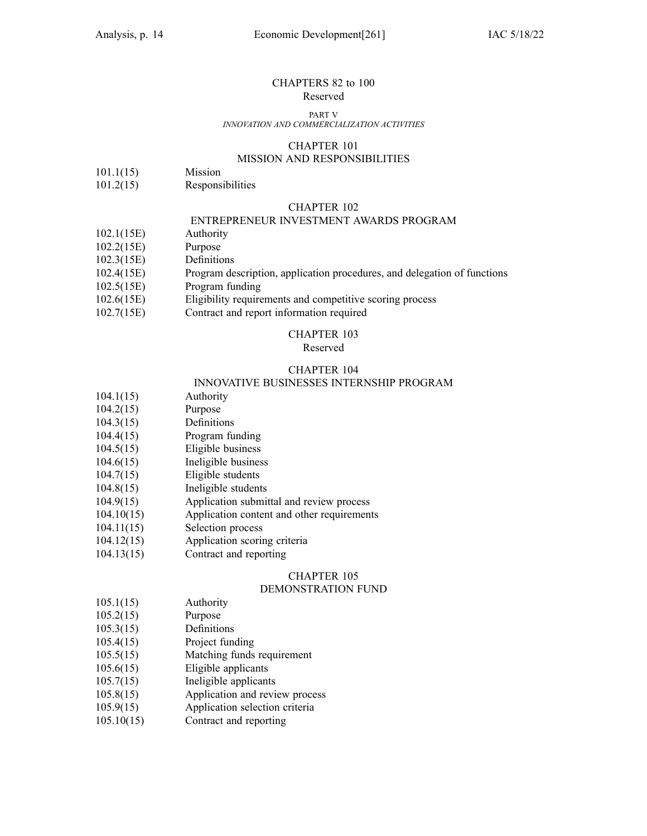### CHAPTERS 82 to 100 Reserved

#### PART V

### *INNOVATION AND COMMERCIALIZATION ACTIVITIES*

### CHAPTER 101

# MISSION AND RESPONSIBILITIES

- 101.1(15) Mission
- 101.2(15) Responsibilities

### CHAPTER 102

# ENTREPRENEUR INVESTMENT AWARDS PROGRAM

- 102.1(15E) Authority
- 102.2(15E) Purpose
- 102.3(15E) Definitions
- 102.4(15E) Program description, application procedures, and delegation of functions
- 102.5(15E) Program funding
- 102.6(15E) Eligibility requirements and competitive scoring process
- 102.7(15E) Contract and repor<sup>t</sup> information required

### CHAPTER 103

### Reserved

# CHAPTER 104

# INNOVATIVE BUSINESSES INTERNSHIP PROGRAM

- 104.1(15) Authority
- 104.2(15) Purpose
- 104.3(15) Definitions
- 104.4(15) Program funding
- 104.5(15) Eligible business
- 104.6(15) Ineligible business
- 104.7(15) Eligible students
- 104.8(15) Ineligible students
- 104.9(15) Application submittal and review process
- 104.10(15) Application content and other requirements
- 104.11(15) Selection process
- 104.12(15) Application scoring criteria
- 104.13(15) Contract and reporting

### CHAPTER 105

### DEMONSTRATION FUND

- 105.1(15) Authority
- 105.2(15) Purpose
- 105.3(15) Definitions
- 105.4(15) Project funding
- 105.5(15) Matching funds requirement
- 105.6(15) Eligible applicants
- 105.7(15) Ineligible applicants
- 105.8(15) Application and review process
- 105.9(15) Application selection criteria
- 105.10(15) Contract and reporting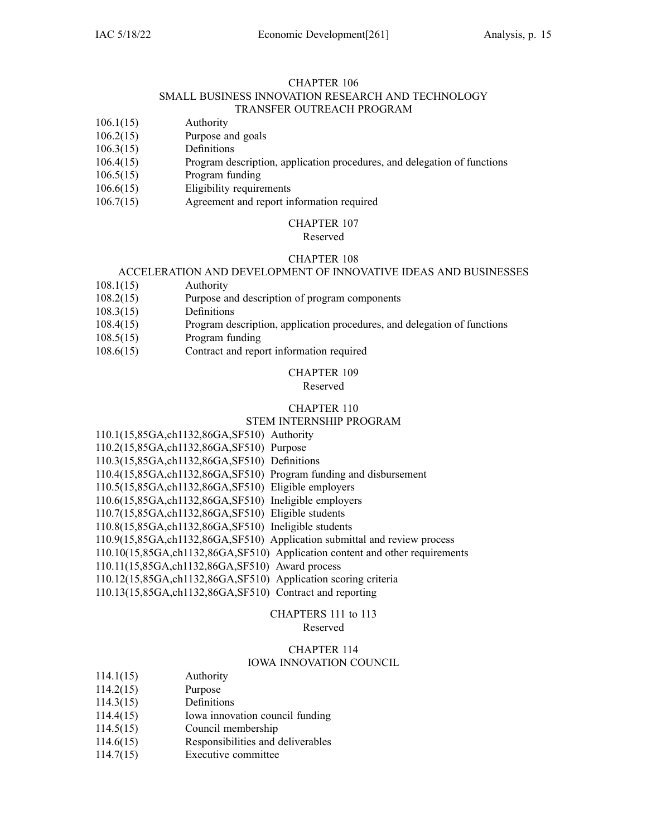### CHAPTER 106 SMALL BUSINESS INNOVATION RESEARCH AND TECHNOLOGY TRANSFER OUTREACH PROGRAM

- 106.1(15) Authority
- 106.2(15) Purpose and goals
- 106.3(15) Definitions
- 106.4(15) Program description, application procedures, and delegation of functions
- 106.5(15) Program funding
- 106.6(15) Eligibility requirements
- 106.7(15) Agreement and repor<sup>t</sup> information required

### CHAPTER 107

Reserved

# CHAPTER 108

# ACCELERATION AND DEVELOPMENT OF INNOVATIVE IDEAS AND BUSINESSES

- 108.1(15) Authority
- 108.2(15) Purpose and description of program components
- 108.3(15) Definitions
- 108.4(15) Program description, application procedures, and delegation of functions
- 108.5(15) Program funding
- 108.6(15) Contract and repor<sup>t</sup> information required

# CHAPTER 109

# Reserved

# CHAPTER 110

# STEM INTERNSHIP PROGRAM

110.1(15,85GA,ch1132,86GA,SF510) Authority

110.2(15,85GA,ch1132,86GA,SF510) Purpose

110.3(15,85GA,ch1132,86GA,SF510) Definitions

- 110.4(15,85GA,ch1132,86GA,SF510) Program funding and disbursement
- 110.5(15,85GA,ch1132,86GA,SF510) Eligible employers
- 110.6(15,85GA,ch1132,86GA,SF510) Ineligible employers
- 110.7(15,85GA,ch1132,86GA,SF510) Eligible students
- 110.8(15,85GA,ch1132,86GA,SF510) Ineligible students
- 110.9(15,85GA,ch1132,86GA,SF510) Application submittal and review process
- 110.10(15,85GA,ch1132,86GA,SF510) Application content and other requirements
- 110.11(15,85GA,ch1132,86GA,SF510) Award process
- 110.12(15,85GA,ch1132,86GA,SF510) Application scoring criteria
- 110.13(15,85GA,ch1132,86GA,SF510) Contract and reporting

# CHAPTERS 111 to 113

### Reserved

# CHAPTER 114

# IOWA INNOVATION COUNCIL

- 114.1(15) Authority
- 114.2(15) Purpose
- 114.3(15) Definitions
- 114.4(15) Iowa innovation council funding
- 114.5(15) Council membership
- 114.6(15) Responsibilities and deliverables
- 114.7(15) Executive committee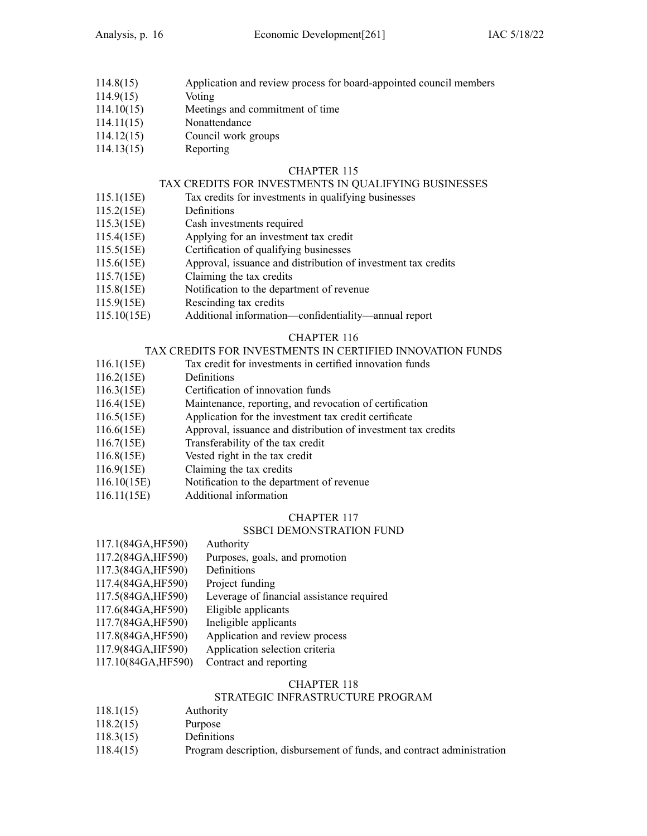- 114.8(15) Application and review process for board-appointed council members
- 114.9(15) Voting
- 114.10(15) Meetings and commitment of time
- 114.11(15) Nonattendance
- 114.12(15) Council work groups
- 114.13(15) Reporting

# TAX CREDITS FOR INVESTMENTS IN QUALIFYING BUSINESSES

- 115.1(15E) Tax credits for investments in qualifying businesses
- 115.2(15E) Definitions
- 115.3(15E) Cash investments required
- 115.4(15E) Applying for an investment tax credit
- 115.5(15E) Certification of qualifying businesses
- 115.6(15E) Approval, issuance and distribution of investment tax credits
- 115.7(15E) Claiming the tax credits
- 115.8(15E) Notification to the department of revenue
- 115.9(15E) Rescinding tax credits
- 115.10(15E) Additional information—confidentiality—annual repor<sup>t</sup>

# CHAPTER 116

# TAX CREDITS FOR INVESTMENTS IN CERTIFIED INNOVATION FUNDS

- 116.1(15E) Tax credit for investments in certified innovation funds
- 116.2(15E) Definitions
- 116.3(15E) Certification of innovation funds
- 116.4(15E) Maintenance, reporting, and revocation of certification
- 116.5(15E) Application for the investment tax credit certificate
- 116.6(15E) Approval, issuance and distribution of investment tax credits
- 116.7(15E) Transferability of the tax credit
- 116.8(15E) Vested right in the tax credit
- 116.9(15E) Claiming the tax credits
- 116.10(15E) Notification to the department of revenue
- 116.11(15E) Additional information

# CHAPTER 117

### SSBCI DEMONSTRATION FUND

- 117.1(84GA,HF590) Authority
- 117.2(84GA,HF590) Purposes, goals, and promotion
- 117.3(84GA,HF590) Definitions
- 117.4(84GA,HF590) Project funding
- 117.5(84GA,HF590) Leverage of financial assistance required<br>117.6(84GA,HF590) Eligible applicants
- 117.6(84GA,HF590)
- 117.7(84GA,HF590) Ineligible applicants
- 117.8(84GA,HF590) Application and review process
- 117.9(84GA,HF590) Application selection criteria
- 117.10(84GA,HF590) Contract and reporting

# CHAPTER 118

# STRATEGIC INFRASTRUCTURE PROGRAM

- 118.1(15) Authority
- 118.2(15) Purpose
- 118.3(15) Definitions
- 118.4(15) Program description, disbursement of funds, and contract administration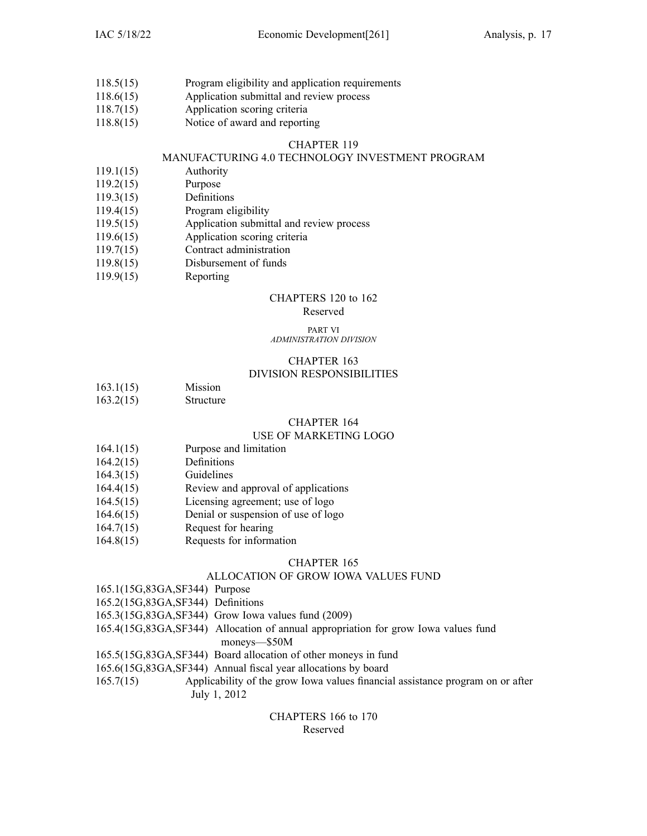- 118.5(15) Program eligibility and application requirements
- 118.6(15) Application submittal and review process
- 118.7(15) Application scoring criteria
- 118.8(15) Notice of award and reporting

# MANUFACTURING 4.0 TECHNOLOGY INVESTMENT PROGRAM

- 119.1(15) Authority
- 119.2(15) Purpose
- 119.3(15) Definitions
- 119.4(15) Program eligibility
- 119.5(15) Application submittal and review process
- 119.6(15) Application scoring criteria
- 119.7(15) Contract administration
- 119.8(15) Disbursement of funds
- 119.9(15) Reporting

# CHAPTERS 120 to 162

# Reserved

### PART VI *ADMINISTRATION DIVISION*

# CHAPTER 163

# DIVISION RESPONSIBILITIES

- 163.1(15) Mission
- 163.2(15) Structure

# CHAPTER 164

# USE OF MARKETING LOGO

- 164.1(15) Purpose and limitation
- 164.2(15) Definitions
- 164.3(15) Guidelines
- 164.4(15) Review and approval of applications
- 164.5(15) Licensing agreement; use of logo
- 164.6(15) Denial or suspension of use of logo
- 164.7(15) Request for hearing
- 164.8(15) Requests for information

# CHAPTER 165

# ALLOCATION OF GROW IOWA VALUES FUND

- 165.1(15G,83GA,SF344) Purpose
- 165.2(15G,83GA,SF344) Definitions
- 165.3(15G,83GA,SF344) Grow Iowa values fund (2009)
- 165.4(15G,83GA,SF344) Allocation of annual appropriation for grow Iowa values fund moneys—\$50M
- 165.5(15G,83GA,SF344) Board allocation of other moneys in fund
- 165.6(15G,83GA,SF344) Annual fiscal year allocations by board
- 165.7(15) Applicability of the grow Iowa values financial assistance program on or after July 1, 2012

# CHAPTERS 166 to 170 Reserved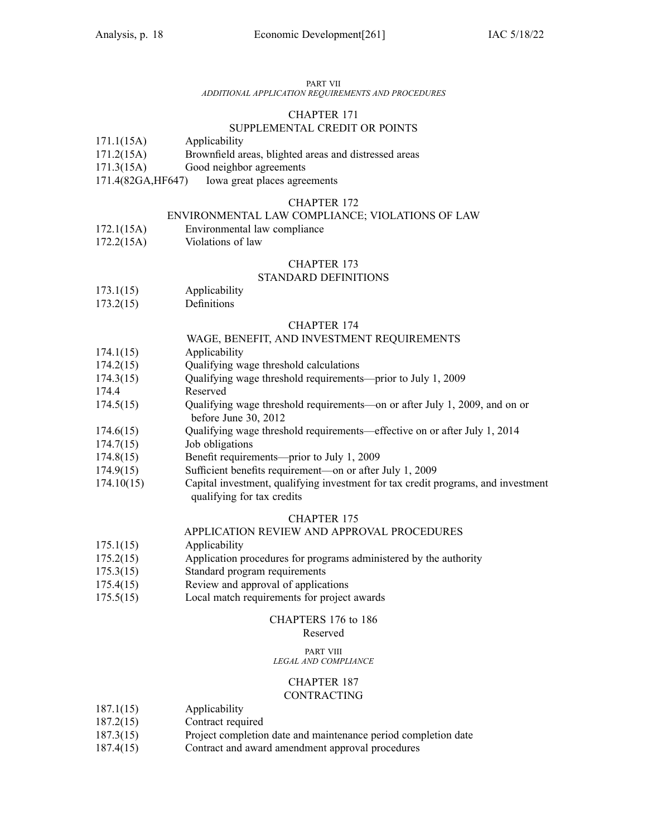### PART VII

# *ADDITIONAL APPLICATION REQUIREMENTS AND PROCEDURES*

### CHAPTER 171

# SUPPLEMENTAL CREDIT OR POINTS

- 171.1(15A) Applicability
- 171.2(15A) Brownfield areas, blighted areas and distressed areas
- 171.3(15A) Good neighbor agreements
- 171.4(82GA,HF647) Iowa grea<sup>t</sup> places agreements

### CHAPTER 172

# ENVIRONMENTAL LAW COMPLIANCE; VIOLATIONS OF LAW

- 172.1(15A) Environmental law compliance
- 172.2(15A) Violations of law

### CHAPTER 173

### STANDARD DEFINITIONS

- 173.1(15) Applicability
- 173.2(15) Definitions

### CHAPTER 174

### WAGE, BENEFIT, AND INVESTMENT REQUIREMENTS

- 174.1(15) Applicability
- 174.2(15) Qualifying wage threshold calculations
- 174.3(15) Qualifying wage threshold requirements—prior to July 1, 2009
- 174.4 Reserved
- 174.5(15) Qualifying wage threshold requirements—on or after July 1, 2009, and on or before June 30, 2012
- 174.6(15) Qualifying wage threshold requirements—effective on or after July 1, 2014
- 174.7(15) Job obligations
- 174.8(15) Benefit requirements—prior to July 1, 2009
- 174.9(15) Sufficient benefits requirement—on or after July 1, 2009
- 174.10(15) Capital investment, qualifying investment for tax credit programs, and investment qualifying for tax credits

### CHAPTER 175

# APPLICATION REVIEW AND APPROVAL PROCEDURES

- 175.1(15) Applicability
- 175.2(15) Application procedures for programs administered by the authority
- 175.3(15) Standard program requirements
- 175.4(15) Review and approval of applications
- 175.5(15) Local match requirements for project awards

### CHAPTERS 176 to 186

# Reserved

#### PART VIII *LEGAL AND COMPLIANCE*

# CHAPTER 187

# CONTRACTING

- 187.1(15) Applicability
- 187.2(15) Contract required
- 187.3(15) Project completion date and maintenance period completion date
- 187.4(15) Contract and award amendment approval procedures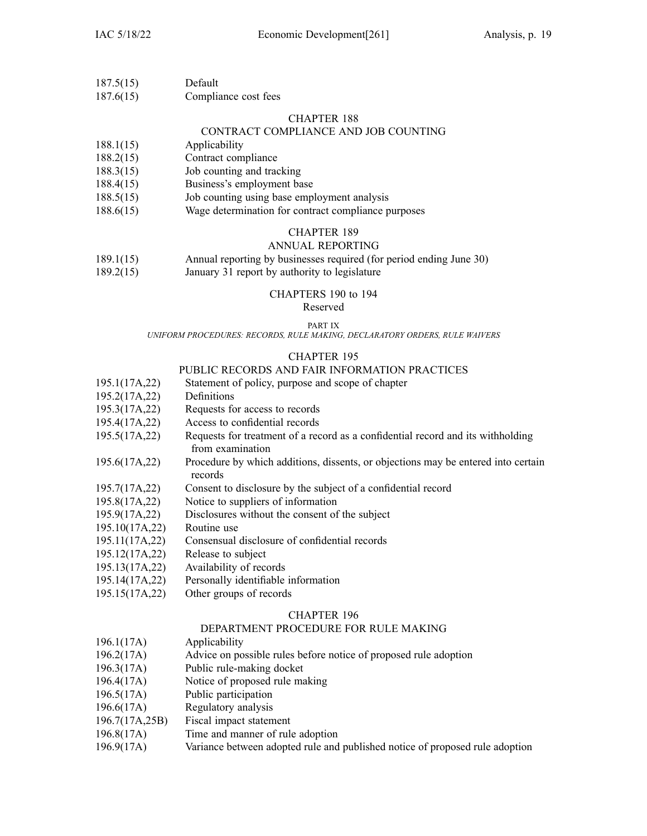187.6(15) Compliance cost fees

### CHAPTER 188

# CONTRACT COMPLIANCE AND JOB COUNTING

- 188.1(15) Applicability
- 188.2(15) Contract compliance
- 188.3(15) Job counting and tracking
- 188.4(15) Business's employment base
- 188.5(15) Job counting using base employment analysis
- 188.6(15) Wage determination for contract compliance purposes

### CHAPTER 189

### ANNUAL REPORTING

- 189.1(15) Annual reporting by businesses required (for period ending June 30)
- 189.2(15) January 31 repor<sup>t</sup> by authority to legislature

### CHAPTERS 190 to 194

Reserved

### PART IX

*UNIFORM PROCEDURES: RECORDS, RULE MAKING, DECLARATORY ORDERS, RULE WAIVERS*

### CHAPTER 195

### PUBLIC RECORDS AND FAIR INFORMATION PRACTICES

- 195.1(17A,22) Statement of policy, purpose and scope of chapter
- 195.2(17A,22) Definitions
- 195.3(17A,22) Requests for access to records
- 195.4(17A,22) Access to confidential records
- 195.5(17A,22) Requests for treatment of <sup>a</sup> record as <sup>a</sup> confidential record and its withholding from examination
- 195.6(17A,22) Procedure by which additions, dissents, or objections may be entered into certain records
- 195.7(17A,22) Consent to disclosure by the subject of <sup>a</sup> confidential record
- 195.8(17A,22) Notice to suppliers of information
- 195.9(17A,22) Disclosures without the consent of the subject
- 195.10(17A,22) Routine use
- 195.11(17A,22) Consensual disclosure of confidential records
- 195.12(17A,22) Release to subject
- 195.13(17A,22) Availability of records
- 195.14(17A,22) Personally identifiable information
- 195.15(17A,22) Other groups of records

### CHAPTER 196

# DEPARTMENT PROCEDURE FOR RULE MAKING

- 196.1(17A) Applicability
- 196.2(17A) Advice on possible rules before notice of proposed rule adoption
- 196.3(17A) Public rule-making docket
- 196.4(17A) Notice of proposed rule making
- 196.5(17A) Public participation
- 196.6(17A) Regulatory analysis
- 196.7(17A,25B) Fiscal impact statement
- 196.8(17A) Time and manner of rule adoption
- 196.9(17A) Variance between adopted rule and published notice of proposed rule adoption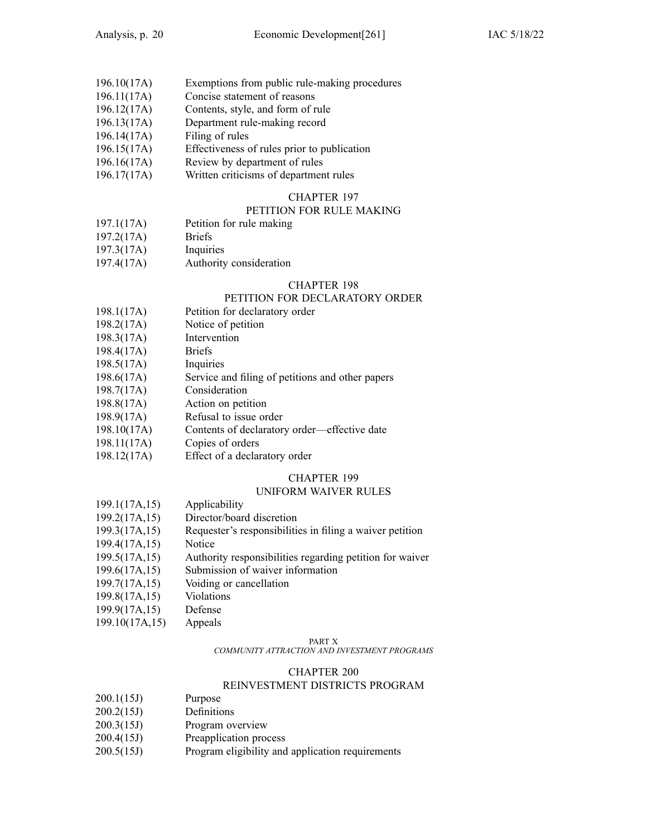| 196.10(17A) |  | Exemptions from public rule-making procedures |  |
|-------------|--|-----------------------------------------------|--|
|             |  |                                               |  |

- 196.11(17A) Concise statement of reasons
- 196.12(17A) Contents, style, and form of rule
- 196.13(17A) Department rule-making record
- 196.14(17A) Filing of rules
- 196.15(17A) Effectiveness of rules prior to publication
- 196.16(17A) Review by department of rules
- 196.17(17A) Written criticisms of department rules

# PETITION FOR RULE MAKING

- 197.1(17A) Petition for rule making
- 197.2(17A) Briefs
- 197.3(17A) Inquiries
- 197.4(17A) Authority consideration

### CHAPTER 198

### PETITION FOR DECLARATORY ORDER

- 198.1(17A) Petition for declaratory order
- 198.2(17A) Notice of petition
- 198.3(17A) Intervention
- 198.4(17A) Briefs
- 198.5(17A) Inquiries
- 198.6(17A) Service and filing of petitions and other papers
- 198.7(17A) Consideration
- 198.8(17A) Action on petition
- 198.9(17A) Refusal to issue order
- 198.10(17A) Contents of declaratory order—effective date
- 198.11(17A) Copies of orders
- 198.12(17A) Effect of <sup>a</sup> declaratory order

# CHAPTER 199

# UNIFORM WAIVER RULES

- 199.1(17A,15) Applicability
- 199.2(17A,15) Director/board discretion
- 199.3(17A,15) Requester's responsibilities in filing <sup>a</sup> waiver petition
- 199.4(17A,15) Notice
- 199.5(17A,15) Authority responsibilities regarding petition for waiver
- 199.6(17A,15) Submission of waiver information
- 199.7(17A,15) Voiding or cancellation
- 199.8(17A,15) Violations
- 199.9(17A,15) Defense
- 199.10(17A,15) Appeals

#### PART X

*COMMUNITY ATTRACTION AND INVESTMENT PROGRAMS*

### CHAPTER 200

# REINVESTMENT DISTRICTS PROGRAM

- 200.1(15J) Purpose
- 200.2(15J) Definitions
- 200.3(15J) Program overview
- 200.4(15J) Preapplication process
- 200.5(15J) Program eligibility and application requirements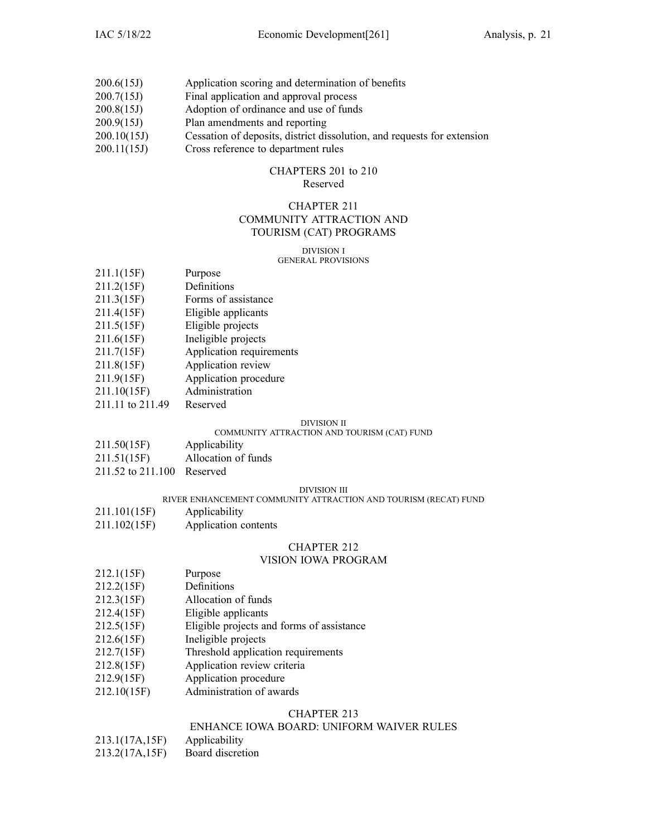- 200.6(15J) Application scoring and determination of benefits
- 200.7(15J) Final application and approval process
- 200.8(15J) Adoption of ordinance and use of funds
- 200.9(15J) Plan amendments and reporting
- 200.10(15J) Cessation of deposits, district dissolution, and requests for extension
- 200.11(15J) Cross reference to department rules

### CHAPTERS 201 to 210 Reserved

# CHAPTER 211 COMMUNITY ATTRACTION AND

# TOURISM (CAT) PROGRAMS

#### DIVISION I GENERAL PROVISIONS

| 211.1(15F) | Purpose |
|------------|---------|
|            |         |

- 211.2(15F) Definitions
- 211.3(15F) Forms of assistance
- 211.4(15F) Eligible applicants
- 211.5(15F) Eligible projects
- 211.6(15F) Ineligible projects
- 211.7(15F) Application requirements
- 211.8(15F) Application review
- 211.9(15F) Application procedure
- 211.10(15F) Administration
- 211.11 to 211.49 Reserved

# DIVISION II

### COMMUNITY ATTRACTION AND TOURISM (CAT) FUND

- 211.50(15F) Applicability
- 211.51(15F) Allocation of funds
- 211.52 to 211.100 Reserved

### DIVISION III

### RIVER ENHANCEMENT COMMUNITY ATTRACTION AND TOURISM (RECAT) FUND

- 211.101(15F) Applicability
- 211.102(15F) Application contents

# CHAPTER 212

# VISION IOWA PROGRAM

- 212.1(15F) Purpose
- 212.2(15F) Definitions
- 212.3(15F) Allocation of funds
- 212.4(15F) Eligible applicants
- 212.5(15F) Eligible projects and forms of assistance
- 212.6(15F) Ineligible projects
- 212.7(15F) Threshold application requirements
- 212.8(15F) Application review criteria
- 212.9(15F) Application procedure
- 212.10(15F) Administration of awards

# CHAPTER 213

# ENHANCE IOWA BOARD: UNIFORM WAIVER RULES

- 213.1(17A,15F) Applicability
- 213.2(17A,15F) Board discretion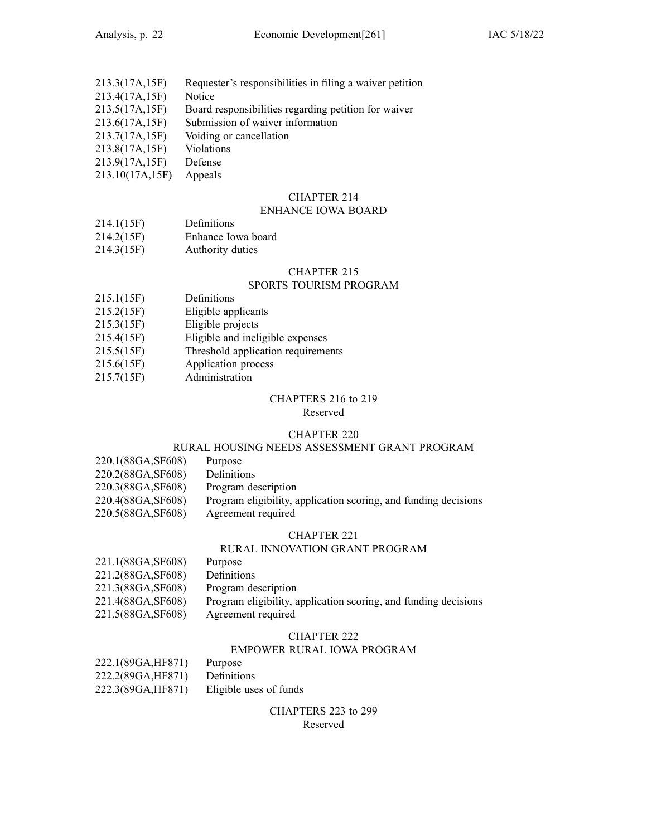| 213.3(17A,15F)   | Requester's responsibilities in filing a waiver petition |
|------------------|----------------------------------------------------------|
| 213.4(17A,15F)   | Notice                                                   |
| 213.5(17A,15F)   | Board responsibilities regarding petition for waiver     |
| 213.6(17A,15F)   | Submission of waiver information                         |
| 213.7(17A,15F)   | Voiding or cancellation                                  |
| 213.8(17A,15F)   | Violations                                               |
| 213.9(17A,15F)   | Defense                                                  |
| 0.10.10(171.177) |                                                          |

213.10(17A,15F) Appeals

# CHAPTER 214

# ENHANCE IOWA BOARD

- 214.1(15F) Definitions
- 214.2(15F) Enhance Iowa board
- 214.3(15F) Authority duties

# CHAPTER 215

# SPORTS TOURISM PROGRAM

- 215.1(15F) Definitions
- 215.2(15F) Eligible applicants
- 215.3(15F) Eligible projects
- 215.4(15F) Eligible and ineligible expenses
- 215.5(15F) Threshold application requirements
- 215.6(15F) Application process
- 215.7(15F) Administration

### CHAPTERS 216 to 219

Reserved

#### CHAPTER 220

# RURAL HOUSING NEEDS ASSESSMENT GRANT PROGRAM

| 220.1(88GA,SF608)  | Purpose                                                         |
|--------------------|-----------------------------------------------------------------|
| 220.2(88GA, SF608) | Definitions                                                     |
| 220.3(88GA, SF608) | Program description                                             |
| 220.4(88GA, SF608) | Program eligibility, application scoring, and funding decisions |
| 220.5(88GA, SF608) | Agreement required                                              |
|                    |                                                                 |

### CHAPTER 221

### RURAL INNOVATION GRANT PROGRAM

| 221.1(88GA, SF608) | Purpose                                                         |
|--------------------|-----------------------------------------------------------------|
| 221.2(88GA, SF608) | Definitions                                                     |
| 221.3(88GA, SF608) | Program description                                             |
| 221.4(88GA, SF608) | Program eligibility, application scoring, and funding decisions |
| 221.5(88GA, SF608) | Agreement required                                              |

### CHAPTER 222

### EMPOWER RURAL IOWA PROGRAM

| 222.1(89GA, HF871) | Purpose                |
|--------------------|------------------------|
| 222.2(89GA, HF871) | Definitions            |
| 222.3(89GA, HF871) | Eligible uses of funds |

CHAPTERS 223 to 299 Reserved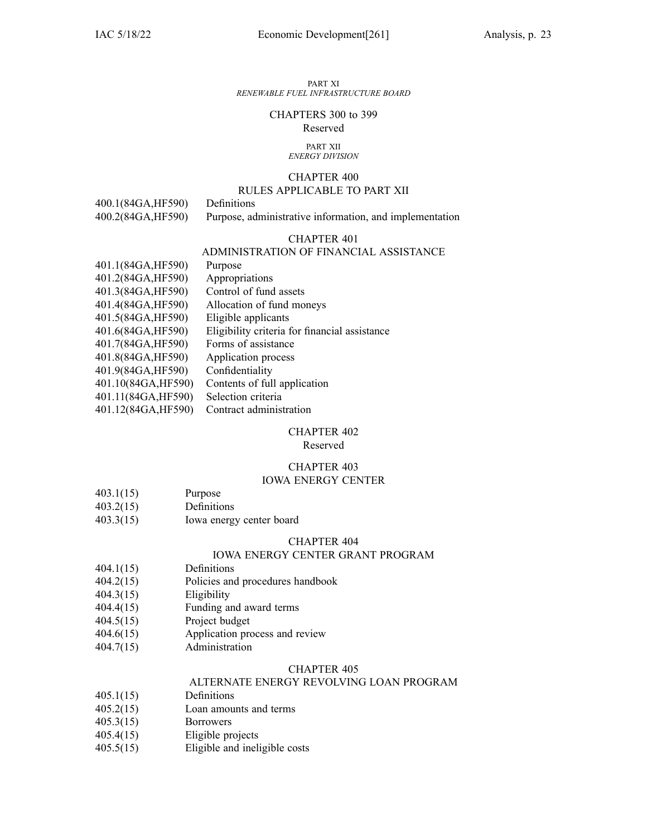#### PART XI *RENEWABLE FUEL INFRASTRUCTURE BOARD*

### CHAPTERS 300 to 399 Reserved

#### PART XII *ENERGY DIVISION*

# CHAPTER 400

# RULES APPLICABLE TO PART XII

400.1(84GA,HF590) Definitions

400.2(84GA,HF590) Purpose, administrative information, and implementation

# CHAPTER 401

# ADMINISTRATION OF FINANCIAL ASSISTANCE

| 401.1(84GA,HF590)   | Purpose                                       |
|---------------------|-----------------------------------------------|
| 401.2(84GA, HF590)  | Appropriations                                |
| 401.3(84GA, HF590)  | Control of fund assets                        |
| 401.4(84GA, HF590)  | Allocation of fund moneys                     |
| 401.5(84GA, HF590)  | Eligible applicants                           |
| 401.6(84GA, HF590)  | Eligibility criteria for financial assistance |
| 401.7(84GA, HF590)  | Forms of assistance                           |
| 401.8(84GA, HF590)  | Application process                           |
| 401.9(84GA, HF590)  | Confidentiality                               |
| 401.10(84GA, HF590) | Contents of full application                  |
| 401.11(84GA, HF590) | Selection criteria                            |
| 401.12(84GA, HF590) | Contract administration                       |
|                     |                                               |

### CHAPTER 402

Reserved

# CHAPTER 403

# IOWA ENERGY CENTER

- 403.1(15) Purpose
- 403.2(15) Definitions
- 403.3(15) Iowa energy center board

### CHAPTER 404

### IOWA ENERGY CENTER GRANT PROGRAM

- 404.1(15) Definitions
- 404.2(15) Policies and procedures handbook
- 404.3(15) Eligibility
- 404.4(15) Funding and award terms
- 404.5(15) Project budget
- 404.6(15) Application process and review
- 404.7(15) Administration

### CHAPTER 405

# ALTERNATE ENERGY REVOLVING LOAN PROGRAM

- 405.1(15) Definitions
- 405.2(15) Loan amounts and terms
- 405.3(15) Borrowers
- 405.4(15) Eligible projects
- 405.5(15) Eligible and ineligible costs